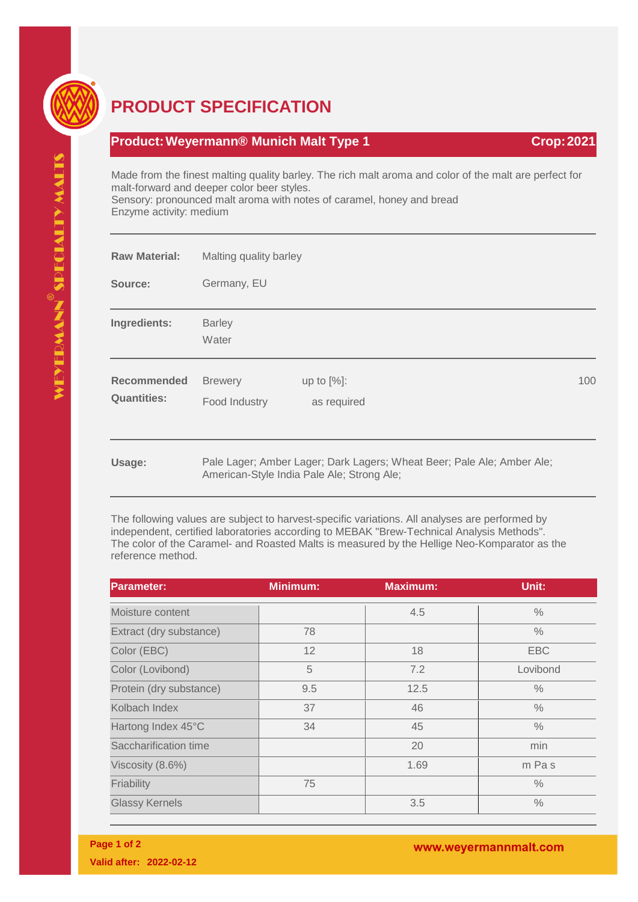

## **PRODUCT SPECIFICATION**

## **Product: Weyermann® Munich Malt Type 1 Crop: 2021**

Made from the finest malting quality barley. The rich malt aroma and color of the malt are perfect for malt-forward and deeper color beer styles. Sensory: pronounced malt aroma with notes of caramel, honey and bread Enzyme activity: medium

| <b>Raw Material:</b>                     | Malting quality barley          |                                                                                                                      |     |
|------------------------------------------|---------------------------------|----------------------------------------------------------------------------------------------------------------------|-----|
| Source:                                  | Germany, EU                     |                                                                                                                      |     |
| Ingredients:                             | <b>Barley</b><br>Water          |                                                                                                                      |     |
| <b>Recommended</b><br><b>Quantities:</b> | <b>Brewery</b><br>Food Industry | up to $[%]$ :<br>as required                                                                                         | 100 |
| Usage:                                   |                                 | Pale Lager; Amber Lager; Dark Lagers; Wheat Beer; Pale Ale; Amber Ale;<br>American-Style India Pale Ale; Strong Ale; |     |

The following values are subject to harvest-specific variations. All analyses are performed by independent, certified laboratories according to MEBAK "Brew-Technical Analysis Methods". The color of the Caramel- and Roasted Malts is measured by the Hellige Neo-Komparator as the reference method.

| <b>Parameter:</b>       | <b>Minimum:</b> | <b>Maximum:</b> | Unit:         |
|-------------------------|-----------------|-----------------|---------------|
| Moisture content        |                 | 4.5             | $\%$          |
| Extract (dry substance) | 78              |                 | $\frac{0}{0}$ |
| Color (EBC)             | 12              | 18              | <b>EBC</b>    |
| Color (Lovibond)        | 5               | 7.2             | Lovibond      |
| Protein (dry substance) | 9.5             | 12.5            | $\frac{0}{0}$ |
| Kolbach Index           | 37              | 46              | $\frac{0}{0}$ |
| Hartong Index 45°C      | 34              | 45              | $\frac{0}{0}$ |
| Saccharification time   |                 | 20              | min           |
| Viscosity (8.6%)        |                 | 1.69            | m Pas         |
| Friability              | 75              |                 | $\frac{0}{0}$ |
| <b>Glassy Kernels</b>   |                 | 3.5             | $\%$          |